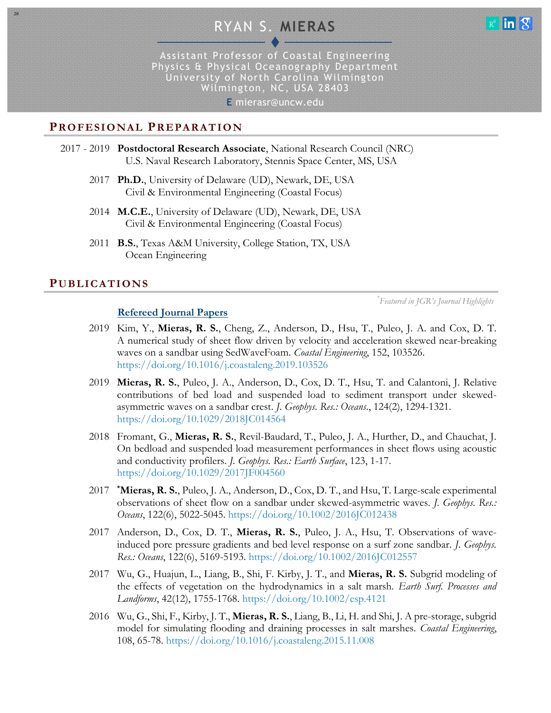# RYAN S. **MIERAS**



Assistant Professor of Coastal Engineering Physics & Physical Oceanography Department University of North Carolina Wilmington Wilmington, NC, USA 28403

**E** mierasr@uncw.edu

# **PROFESI O NAL PR E PARAT IO N**

- 2017 2019 **Postdoctoral Research Associate**, National Research Council (NRC) U.S. Naval Research Laboratory, Stennis Space Center, MS, USA
	- 2017 **Ph.D.**, University of Delaware (UD), Newark, DE, USA Civil & Environmental Engineering (Coastal Focus)
	- 2014 **M.C.E.**, University of Delaware (UD), Newark, DE, USA Civil & Environmental Engineering (Coastal Focus)
	- 2011 **B.S.**, Texas A&M University, College Station, TX, USA Ocean Engineering

#### **PUBLICA TI ON S**

28

**Refereed Journal Papers**

*\* Featured in JGR's Journal Highlights*

- 2019 Kim, Y., **Mieras, R. S.**, Cheng, Z., Anderson, D., Hsu, T., Puleo, J. A. and Cox, D. T. A numerical study of sheet flow driven by velocity and acceleration skewed near-breaking waves on a sandbar using SedWaveFoam. *Coastal Engineering*, 152, 103526. <https://doi.org/10.1016/j.coastaleng.2019.103526>
- 2019 **Mieras, R. S.**, Puleo, J. A., Anderson, D., Cox, D. T., Hsu, T. and Calantoni, J. Relative contributions of bed load and suspended load to sediment transport under skewedasymmetric waves on a sandbar crest. *J. Geophys. Res.: Oceans*., 124(2), 1294-1321. <https://doi.org/10.1029/2018JC014564>
- 2018 Fromant, G., **Mieras, R. S.**, Revil-Baudard, T., Puleo, J. A., Hurther, D., and Chauchat, J. On bedload and suspended load measurement performances in sheet flows using acoustic and conductivity profilers. *J. Geophys. Res.: Earth Surface*, 123, 1-17. <https://doi.org/10.1029/2017JF004560>
- 2017 **\*Mieras, R. S.**, Puleo, J. A., Anderson, D., Cox, D. T., and Hsu, T. Large-scale experimental observations of sheet flow on a sandbar under skewed-asymmetric waves. *J. Geophys. Res.: Oceans*, 122(6), 5022-5045.<https://doi.org/10.1002/2016JC012438>
- 2017 Anderson, D., Cox, D. T., **Mieras, R. S.**, Puleo, J. A., Hsu, T. Observations of waveinduced pore pressure gradients and bed level response on a surf zone sandbar. *J. Geophys. Res.: Oceans*, 122(6), 5169-5193.<https://doi.org/10.1002/2016JC012557>
- 2017 Wu, G., Huajun, L., Liang, B., Shi, F. Kirby, J. T., and **Mieras, R. S.** Subgrid modeling of the effects of vegetation on the hydrodynamics in a salt marsh. *Earth Surf. Processes and Landforms*, 42(12), 1755-1768.<https://doi.org/10.1002/esp.4121>
- 2016 Wu, G., Shi, F., Kirby, J. T., **Mieras, R. S.**, Liang, B., Li, H. and Shi, J. A pre-storage, subgrid model for simulating flooding and draining processes in salt marshes. *Coastal Engineering*, 108, 65-78.<https://doi.org/10.1016/j.coastaleng.2015.11.008>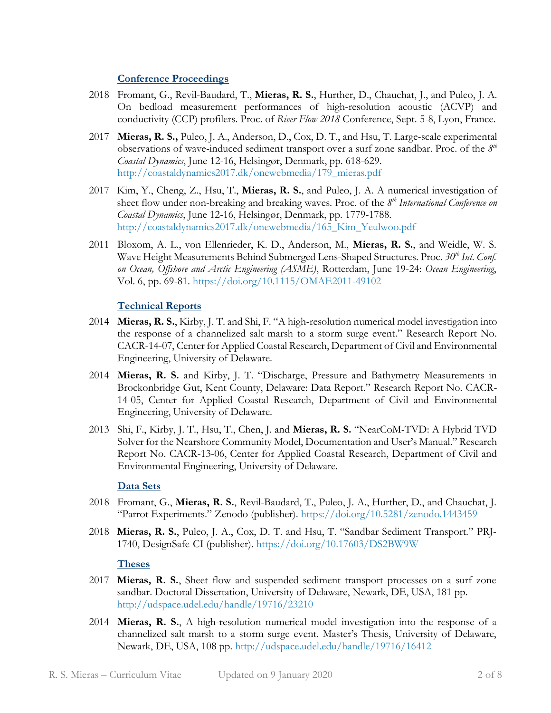#### **Conference Proceedings**

- 2018 Fromant, G., Revil-Baudard, T., **Mieras, R. S.**, Hurther, D., Chauchat, J., and Puleo, J. A. On bedload measurement performances of high-resolution acoustic (ACVP) and conductivity (CCP) profilers. Proc. of *River Flow 2018* Conference, Sept. 5-8, Lyon, France.
- 2017 **Mieras, R. S.,** Puleo, J. A., Anderson, D., Cox, D. T., and Hsu, T. Large-scale experimental observations of wave-induced sediment transport over a surf zone sandbar. Proc. of the *8 th Coastal Dynamics*, June 12-16, Helsingør, Denmark, pp. 618-629. [http://coastaldynamics2017.dk/onewebmedia/179\\_mieras.pdf](http://coastaldynamics2017.dk/onewebmedia/179_mieras.pdf)
- 2017 Kim, Y., Cheng, Z., Hsu, T., **Mieras, R. S.**, and Puleo, J. A. A numerical investigation of sheet flow under non-breaking and breaking waves. Proc. of the *8 th International Conference on Coastal Dynamics*, June 12-16, Helsingør, Denmark, pp. 1779-1788. [http://coastaldynamics2017.dk/onewebmedia/165\\_Kim\\_Yeulwoo.pdf](http://coastaldynamics2017.dk/onewebmedia/165_Kim_Yeulwoo.pdf)
- 2011 Bloxom, A. L., von Ellenrieder, K. D., Anderson, M., **Mieras, R. S.**, and Weidle, W. S. Wave Height Measurements Behind Submerged Lens-Shaped Structures. Proc. 30<sup>th</sup> Int. Conf. *on Ocean, Offshore and Arctic Engineering (ASME)*, Rotterdam, June 19-24: *Ocean Engineering*, Vol. 6, pp. 69-81.<https://doi.org/10.1115/OMAE2011-49102>

#### **Technical Reports**

- 2014 **Mieras, R. S.**, Kirby, J. T. and Shi, F. "A high-resolution numerical model investigation into the response of a channelized salt marsh to a storm surge event." Research Report No. CACR-14-07, Center for Applied Coastal Research, Department of Civil and Environmental Engineering, University of Delaware.
- 2014 **Mieras, R. S.** and Kirby, J. T. "Discharge, Pressure and Bathymetry Measurements in Brockonbridge Gut, Kent County, Delaware: Data Report." Research Report No. CACR-14-05, Center for Applied Coastal Research, Department of Civil and Environmental Engineering, University of Delaware.
- 2013 Shi, F., Kirby, J. T., Hsu, T., Chen, J. and **Mieras, R. S.** "NearCoM-TVD: A Hybrid TVD Solver for the Nearshore Community Model, Documentation and User's Manual." Research Report No. CACR-13-06, Center for Applied Coastal Research, Department of Civil and Environmental Engineering, University of Delaware.

#### **Data Sets**

- 2018 Fromant, G., **Mieras, R. S.**, Revil-Baudard, T., Puleo, J. A., Hurther, D., and Chauchat, J. "Parrot Experiments." Zenodo (publisher). <https://doi.org/10.5281/zenodo.1443459>
- 2018 **Mieras, R. S.**, Puleo, J. A., Cox, D. T. and Hsu, T. "Sandbar Sediment Transport." PRJ-1740, DesignSafe-CI (publisher).<https://doi.org/10.17603/DS2BW9W>

#### **Theses**

- 2017 **Mieras, R. S.**, Sheet flow and suspended sediment transport processes on a surf zone sandbar. Doctoral Dissertation, University of Delaware, Newark, DE, USA, 181 pp. <http://udspace.udel.edu/handle/19716/23210>
- 2014 **Mieras, R. S.**, A high-resolution numerical model investigation into the response of a channelized salt marsh to a storm surge event. Master's Thesis, University of Delaware, Newark, DE, USA, 108 pp.<http://udspace.udel.edu/handle/19716/16412>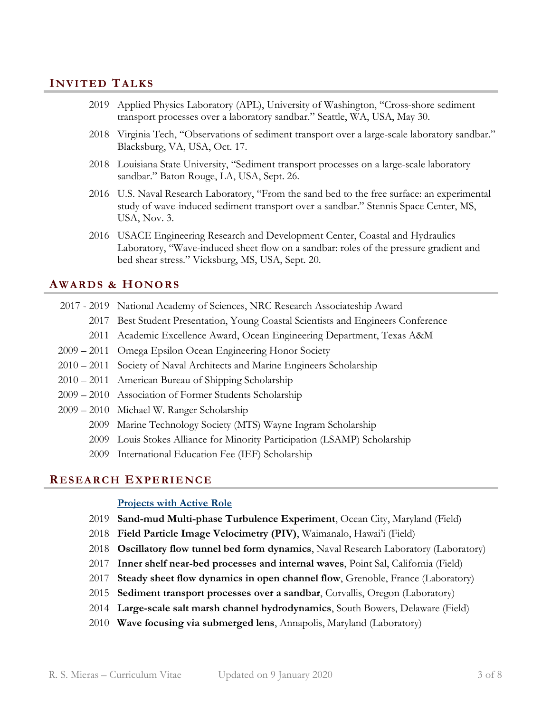# **IN VITE D TAL KS**

- Applied Physics Laboratory (APL), University of Washington, "Cross-shore sediment transport processes over a laboratory sandbar." Seattle, WA, USA, May 30.
- Virginia Tech, "Observations of sediment transport over a large-scale laboratory sandbar." Blacksburg, VA, USA, Oct. 17.
- Louisiana State University, "Sediment transport processes on a large-scale laboratory sandbar." Baton Rouge, LA, USA, Sept. 26.
- U.S. Naval Research Laboratory, "From the sand bed to the free surface: an experimental study of wave-induced sediment transport over a sandbar." Stennis Space Center, MS, USA, Nov. 3.
- USACE Engineering Research and Development Center, Coastal and Hydraulics Laboratory, "Wave-induced sheet flow on a sandbar: roles of the pressure gradient and bed shear stress." Vicksburg, MS, USA, Sept. 20.

### **AWA RD S & HONO RS**

- 2017 2019 National Academy of Sciences, NRC Research Associateship Award
	- Best Student Presentation, Young Coastal Scientists and Engineers Conference
	- Academic Excellence Award, Ocean Engineering Department, Texas A&M
- 2011 Omega Epsilon Ocean Engineering Honor Society
- 2011 Society of Naval Architects and Marine Engineers Scholarship
- 2011 American Bureau of Shipping Scholarship
- 2010 Association of Former Students Scholarship
- 2010 Michael W. Ranger Scholarship
	- Marine Technology Society (MTS) Wayne Ingram Scholarship
	- Louis Stokes Alliance for Minority Participation (LSAMP) Scholarship
	- International Education Fee (IEF) Scholarship

#### **RE SEA RC H EX PE RIE NC E**

#### **Projects with Active Role**

- **Sand-mud Multi-phase Turbulence Experiment**, Ocean City, Maryland (Field)
- **Field Particle Image Velocimetry (PIV)**, Waimanalo, Hawai'i (Field)
- **Oscillatory flow tunnel bed form dynamics**, Naval Research Laboratory (Laboratory)
- **Inner shelf near-bed processes and internal waves**, Point Sal, California (Field)
- **Steady sheet flow dynamics in open channel flow**, Grenoble, France (Laboratory)
- **Sediment transport processes over a sandbar**, Corvallis, Oregon (Laboratory)
- **Large-scale salt marsh channel hydrodynamics**, South Bowers, Delaware (Field)
- **Wave focusing via submerged lens**, Annapolis, Maryland (Laboratory)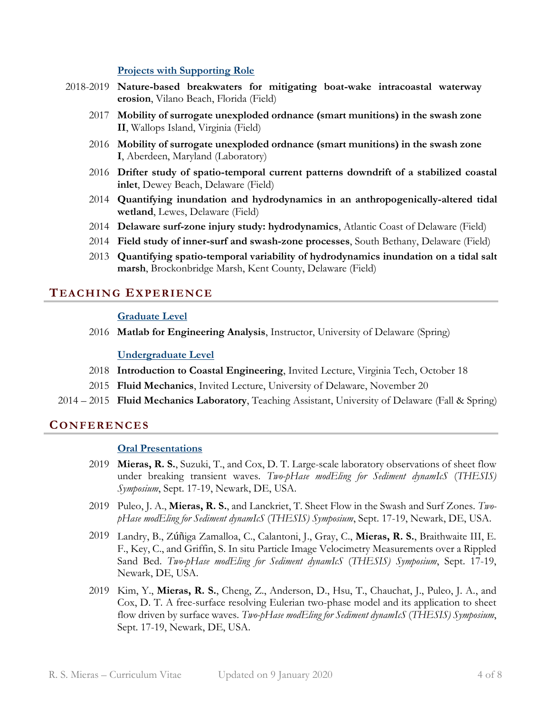#### **Projects with Supporting Role**

- 2018-2019 **Nature-based breakwaters for mitigating boat-wake intracoastal waterway erosion**, Vilano Beach, Florida (Field)
	- 2017 **Mobility of surrogate unexploded ordnance (smart munitions) in the swash zone II**, Wallops Island, Virginia (Field)
	- 2016 **Mobility of surrogate unexploded ordnance (smart munitions) in the swash zone I**, Aberdeen, Maryland (Laboratory)
	- 2016 **Drifter study of spatio-temporal current patterns downdrift of a stabilized coastal inlet**, Dewey Beach, Delaware (Field)
	- 2014 **Quantifying inundation and hydrodynamics in an anthropogenically-altered tidal wetland**, Lewes, Delaware (Field)
	- 2014 **Delaware surf-zone injury study: hydrodynamics**, Atlantic Coast of Delaware (Field)
	- 2014 **Field study of inner-surf and swash-zone processes**, South Bethany, Delaware (Field)
	- 2013 **Quantifying spatio-temporal variability of hydrodynamics inundation on a tidal salt marsh**, Brockonbridge Marsh, Kent County, Delaware (Field)

# **TEAC HIN G EX PE RIE NC E**

#### **Graduate Level**

2016 **Matlab for Engineering Analysis**, Instructor, University of Delaware (Spring)

#### **Undergraduate Level**

- 2018 **Introduction to Coastal Engineering**, Invited Lecture, Virginia Tech, October 18
- 2015 **Fluid Mechanics**, Invited Lecture, University of Delaware, November 20
- 2014 2015 **Fluid Mechanics Laboratory**, Teaching Assistant, University of Delaware (Fall & Spring)

#### **CO N FE RE NC ES**

#### **Oral Presentations**

- 2019 **Mieras, R. S.**, Suzuki, T., and Cox, D. T. Large-scale laboratory observations of sheet flow under breaking transient waves. *Two-pHase modEling for Sediment dynamIcS* (*THESIS) Symposium*, Sept. 17-19, Newark, DE, USA.
- 2019 Puleo, J. A., **Mieras, R. S.**, and Lanckriet, T. Sheet Flow in the Swash and Surf Zones. *TwopHase modEling for Sediment dynamIcS* (*THESIS) Symposium*, Sept. 17-19, Newark, DE, USA.
- 2019 Landry, B., Zúñiga Zamalloa, C., Calantoni, J., Gray, C., **Mieras, R. S.**, Braithwaite III, E. F., Key, C., and Griffin, S. In situ Particle Image Velocimetry Measurements over a Rippled Sand Bed. *Two-pHase modEling for Sediment dynamIcS* (*THESIS) Symposium*, Sept. 17-19, Newark, DE, USA.
- 2019 Kim, Y., **Mieras, R. S.**, Cheng, Z., Anderson, D., Hsu, T., Chauchat, J., Puleo, J. A., and Cox, D. T. A free-surface resolving Eulerian two-phase model and its application to sheet flow driven by surface waves. *Two-pHase modEling for Sediment dynamIcS* (*THESIS) Symposium*, Sept. 17-19, Newark, DE, USA.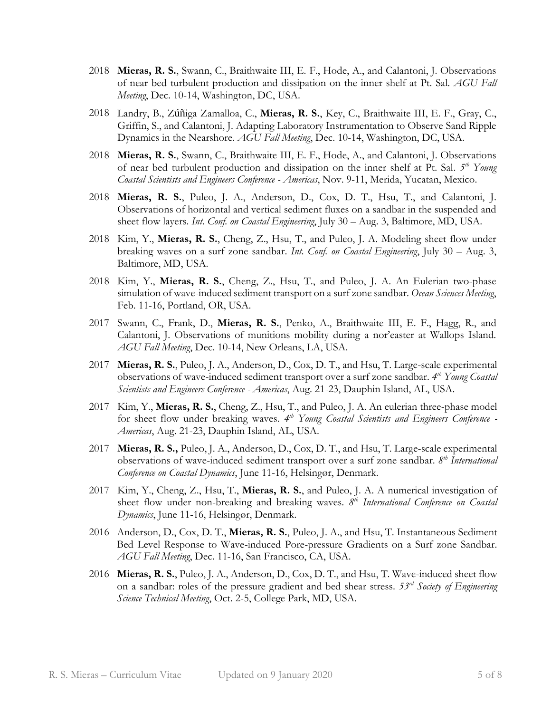- 2018 **Mieras, R. S.**, Swann, C., Braithwaite III, E. F., Hode, A., and Calantoni, J. Observations of near bed turbulent production and dissipation on the inner shelf at Pt. Sal. *AGU Fall Meeting*, Dec. 10-14, Washington, DC, USA.
- 2018 Landry, B., Zúñiga Zamalloa, C., **Mieras, R. S.**, Key, C., Braithwaite III, E. F., Gray, C., Griffin, S., and Calantoni, J. Adapting Laboratory Instrumentation to Observe Sand Ripple Dynamics in the Nearshore. *AGU Fall Meeting*, Dec. 10-14, Washington, DC, USA.
- 2018 **Mieras, R. S.**, Swann, C., Braithwaite III, E. F., Hode, A., and Calantoni, J. Observations of near bed turbulent production and dissipation on the inner shelf at Pt. Sal. 5<sup>th</sup> Young *Coastal Scientists and Engineers Conference - Americas*, Nov. 9-11, Merida, Yucatan, Mexico.
- 2018 **Mieras, R. S.**, Puleo, J. A., Anderson, D., Cox, D. T., Hsu, T., and Calantoni, J. Observations of horizontal and vertical sediment fluxes on a sandbar in the suspended and sheet flow layers. *Int. Conf. on Coastal Engineering*, July 30 – Aug. 3, Baltimore, MD, USA.
- 2018 Kim, Y., **Mieras, R. S.**, Cheng, Z., Hsu, T., and Puleo, J. A. Modeling sheet flow under breaking waves on a surf zone sandbar. *Int. Conf. on Coastal Engineering*, July 30 – Aug. 3, Baltimore, MD, USA.
- 2018 Kim, Y., **Mieras, R. S.**, Cheng, Z., Hsu, T., and Puleo, J. A. An Eulerian two-phase simulation of wave-induced sediment transport on a surf zone sandbar. *Ocean Sciences Meeting*, Feb. 11-16, Portland, OR, USA.
- 2017 Swann, C., Frank, D., **Mieras, R. S.**, Penko, A., Braithwaite III, E. F., Hagg, R., and Calantoni, J. Observations of munitions mobility during a nor'easter at Wallops Island. *AGU Fall Meeting*, Dec. 10-14, New Orleans, LA, USA.
- 2017 **Mieras, R. S.**, Puleo, J. A., Anderson, D., Cox, D. T., and Hsu, T. Large-scale experimental observations of wave-induced sediment transport over a surf zone sandbar. *4 th Young Coastal Scientists and Engineers Conference - Americas*, Aug. 21-23, Dauphin Island, AL, USA.
- 2017 Kim, Y., **Mieras, R. S.**, Cheng, Z., Hsu, T., and Puleo, J. A. An eulerian three-phase model for sheet flow under breaking waves. 4<sup>th</sup> Young Coastal Scientists and Engineers Conference -*Americas*, Aug. 21-23, Dauphin Island, AL, USA.
- 2017 **Mieras, R. S.,** Puleo, J. A., Anderson, D., Cox, D. T., and Hsu, T. Large-scale experimental observations of wave-induced sediment transport over a surf zone sandbar. *8 th International Conference on Coastal Dynamics*, June 11-16, Helsingør, Denmark.
- 2017 Kim, Y., Cheng, Z., Hsu, T., **Mieras, R. S.**, and Puleo, J. A. A numerical investigation of sheet flow under non-breaking and breaking waves. 8<sup>th</sup> International Conference on Coastal *Dynamics*, June 11-16, Helsingør, Denmark.
- 2016 Anderson, D., Cox, D. T., **Mieras, R. S.**, Puleo, J. A., and Hsu, T. Instantaneous Sediment Bed Level Response to Wave-induced Pore-pressure Gradients on a Surf zone Sandbar. *AGU Fall Meeting*, Dec. 11-16, San Francisco, CA, USA.
- 2016 **Mieras, R. S.**, Puleo, J. A., Anderson, D., Cox, D. T., and Hsu, T. Wave-induced sheet flow on a sandbar: roles of the pressure gradient and bed shear stress. *53rd Society of Engineering Science Technical Meeting*, Oct. 2-5, College Park, MD, USA.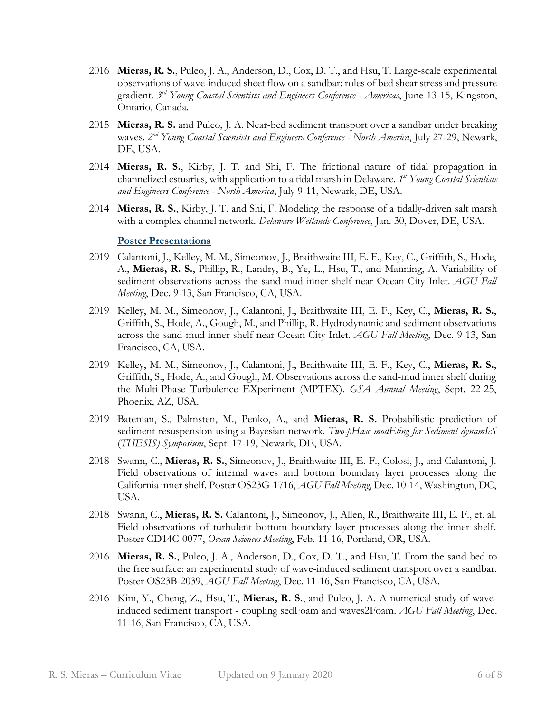- 2016 **Mieras, R. S.**, Puleo, J. A., Anderson, D., Cox, D. T., and Hsu, T. Large-scale experimental observations of wave-induced sheet flow on a sandbar: roles of bed shear stress and pressure gradient. *3 rd Young Coastal Scientists and Engineers Conference - Americas*, June 13-15, Kingston, Ontario, Canada.
- 2015 **Mieras, R. S.** and Puleo, J. A. Near-bed sediment transport over a sandbar under breaking waves. *2 nd Young Coastal Scientists and Engineers Conference - North America*, July 27-29, Newark, DE, USA.
- 2014 **Mieras, R. S.**, Kirby, J. T. and Shi, F. The frictional nature of tidal propagation in channelized estuaries, with application to a tidal marsh in Delaware. *1 st Young Coastal Scientists and Engineers Conference - North America*, July 9-11, Newark, DE, USA.
- 2014 **Mieras, R. S.**, Kirby, J. T. and Shi, F. Modeling the response of a tidally-driven salt marsh with a complex channel network. *Delaware Wetlands Conference*, Jan. 30, Dover, DE, USA.

#### **Poster Presentations**

- 2019 Calantoni, J., Kelley, M. M., Simeonov, J., Braithwaite III, E. F., Key, C., Griffith, S., Hode, A., **Mieras, R. S.**, Phillip, R., Landry, B., Ye, L., Hsu, T., and Manning, A. Variability of sediment observations across the sand-mud inner shelf near Ocean City Inlet. *AGU Fall Meeting*, Dec. 9-13, San Francisco, CA, USA.
- 2019 Kelley, M. M., Simeonov, J., Calantoni, J., Braithwaite III, E. F., Key, C., **Mieras, R. S.**, Griffith, S., Hode, A., Gough, M., and Phillip, R. Hydrodynamic and sediment observations across the sand-mud inner shelf near Ocean City Inlet. *AGU Fall Meeting*, Dec. 9-13, San Francisco, CA, USA.
- 2019 Kelley, M. M., Simeonov, J., Calantoni, J., Braithwaite III, E. F., Key, C., **Mieras, R. S.**, Griffith, S., Hode, A., and Gough, M. Observations across the sand-mud inner shelf during the Multi-Phase Turbulence EXperiment (MPTEX). *GSA Annual Meeting*, Sept. 22-25, Phoenix, AZ, USA.
- 2019 Bateman, S., Palmsten, M., Penko, A., and **Mieras, R. S.** Probabilistic prediction of sediment resuspension using a Bayesian network. *Two-pHase modEling for Sediment dynamIcS* (*THESIS) Symposium*, Sept. 17-19, Newark, DE, USA.
- 2018 Swann, C., **Mieras, R. S.**, Simeonov, J., Braithwaite III, E. F., Colosi, J., and Calantoni, J. Field observations of internal waves and bottom boundary layer processes along the California inner shelf. Poster OS23G-1716, *AGU Fall Meeting*, Dec. 10-14, Washington, DC, USA.
- 2018 Swann, C., **Mieras, R. S.** Calantoni, J., Simeonov, J., Allen, R., Braithwaite III, E. F., et. al. Field observations of turbulent bottom boundary layer processes along the inner shelf. Poster CD14C-0077, *Ocean Sciences Meeting*, Feb. 11-16, Portland, OR, USA.
- 2016 **Mieras, R. S.**, Puleo, J. A., Anderson, D., Cox, D. T., and Hsu, T. From the sand bed to the free surface: an experimental study of wave-induced sediment transport over a sandbar. Poster OS23B-2039, *AGU Fall Meeting*, Dec. 11-16, San Francisco, CA, USA.
- 2016 Kim, Y., Cheng, Z., Hsu, T., **Mieras, R. S.**, and Puleo, J. A. A numerical study of waveinduced sediment transport - coupling sedFoam and waves2Foam. *AGU Fall Meeting*, Dec. 11-16, San Francisco, CA, USA.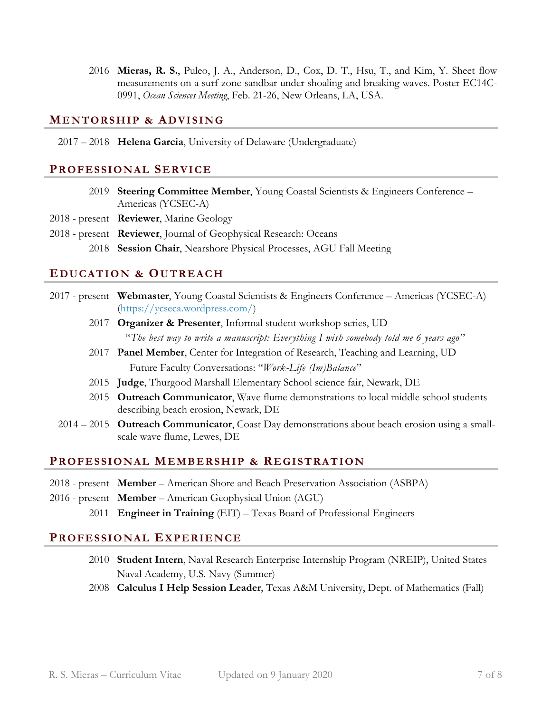2016 **Mieras, R. S.**, Puleo, J. A., Anderson, D., Cox, D. T., Hsu, T., and Kim, Y. Sheet flow measurements on a surf zone sandbar under shoaling and breaking waves. Poster EC14C-0991, *Ocean Sciences Meeting*, Feb. 21-26, New Orleans, LA, USA.

# **ME NTORS HI P & ADVIS IN G**

#### 2017 – 2018 **Helena Garcia**, University of Delaware (Undergraduate)

# **PRO FES SIO NAL SE RVIC E**

- 2019 **Steering Committee Member**, Young Coastal Scientists & Engineers Conference Americas (YCSEC-A)
- 2018 present **Reviewer**, Marine Geology
- 2018 present **Reviewer**, Journal of Geophysical Research: Oceans
	- 2018 **Session Chair**, Nearshore Physical Processes, AGU Fall Meeting

# **EDU CATI O N & OU TREA C H**

- 2017 present **Webmaster**, Young Coastal Scientists & Engineers Conference Americas (YCSEC-A) [\(https://ycseca.wordpress.com/\)](https://ycseca.wordpress.com/)
	- 2017 **Organizer & Presenter**, Informal student workshop series, UD "*The best way to write a manuscript: Everything I wish somebody told me 6 years ago* "
	- 2017 **Panel Member**, Center for Integration of Research, Teaching and Learning, UD Future Faculty Conversations: "*Work-Life (Im)Balance*"
	- 2015 **Judge**, Thurgood Marshall Elementary School science fair, Newark, DE
	- 2015 **Outreach Communicator**, Wave flume demonstrations to local middle school students describing beach erosion, Newark, DE
	- 2014 2015 **Outreach Communicator**, Coast Day demonstrations about beach erosion using a smallscale wave flume, Lewes, DE

# **PRO FES SIO NAL MEMB ERS HI P & RE GIS TRATI O N**

- 2018 present **Member** American Shore and Beach Preservation Association (ASBPA)
- 2016 present **Member** American Geophysical Union (AGU)
	- 2011 **Engineer in Training** (EIT) Texas Board of Professional Engineers

# **PRO FES SIO NAL EX PERIE N CE**

- 2010 **Student Intern**, Naval Research Enterprise Internship Program (NREIP), United States Naval Academy, U.S. Navy (Summer)
- 2008 **Calculus I Help Session Leader**, Texas A&M University, Dept. of Mathematics (Fall)